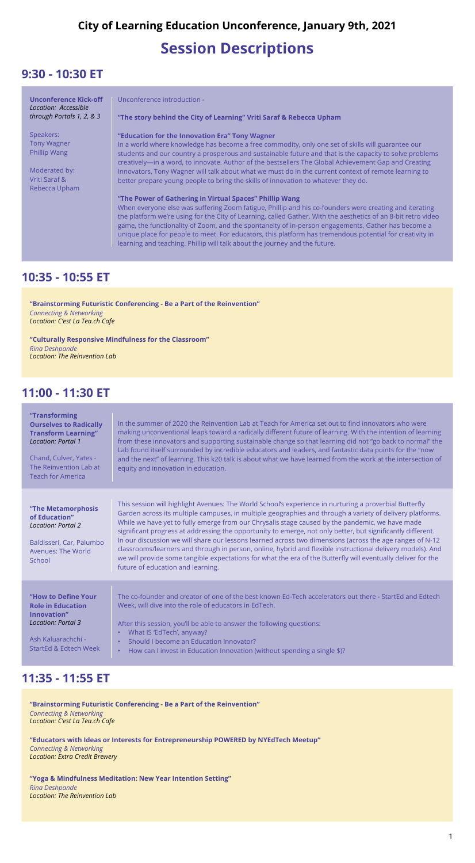#### **10:35 - 10:55 ET**

#### **11:00 - 11:30 ET**

#### **11:35 - 11:55 ET**

# **Session Descriptions**

# **City of Learning Education Unconference, January 9th, 2021**

### **9:30 - 10:30 ET**

| <b>Unconference Kick-off</b><br>Location: Accessible<br>through Portals 1, 2, & 3 | Unconference introduction -                                                                                                                                                                                     |
|-----------------------------------------------------------------------------------|-----------------------------------------------------------------------------------------------------------------------------------------------------------------------------------------------------------------|
|                                                                                   | "The story behind the City of Learning" Vriti Saraf & Rebecca Upham                                                                                                                                             |
| Speakers:                                                                         | "Education for the Innovation Era" Tony Wagner                                                                                                                                                                  |
| <b>Tony Wagner</b>                                                                | In a world where knowledge has become a free commodity, only one set of skills will guarantee our                                                                                                               |
| Phillip Wang                                                                      | students and our country a prosperous and sustainable future and that is the capacity to solve problems<br>creatively—in a word, to innovate. Author of the bestsellers The Global Achievement Gap and Creating |
| Moderated by:                                                                     | Innovators, Tony Wagner will talk about what we must do in the current context of remote learning to                                                                                                            |
| Vriti Saraf &                                                                     | better prepare young people to bring the skills of innovation to whatever they do.                                                                                                                              |
| Rebecca Upham                                                                     |                                                                                                                                                                                                                 |
|                                                                                   | "The Power of Gathering in Virtual Spaces" Phillip Wang                                                                                                                                                         |
|                                                                                   | When everyone else was suffering Zoom fatigue, Phillip and his co-founders were creating and iterating                                                                                                          |

the platform we're using for the City of Learning, called Gather. With the aesthetics of an 8-bit retro video game, the functionality of Zoom, and the spontaneity of in-person engagements, Gather has become a unique place for people to meet. For educators, this platform has tremendous potential for creativity in learning and teaching. Phillip will talk about the journey and the future.

**"Transforming Ourselves to Radically Transform Learning"** *Location: Portal 1* 

Chand, Culver, Yates - The Reinvention Lab at Teach for America

#### **"The Metamorphosis of Education"** *Location: Portal 2*

In the summer of 2020 the Reinvention Lab at Teach for America set out to find innovators who were making unconventional leaps toward a radically different future of learning. With the intention of learning from these innovators and supporting sustainable change so that learning did not "go back to normal" the Lab found itself surrounded by incredible educators and leaders, and fantastic data points for the "now and the next" of learning. This k20 talk is about what we have learned from the work at the intersection of equity and innovation in education.

| Baldisseri, Car, Palumbo<br>Avenues: The World<br>School | In our discussion we will share our lessons learned across two dimensions (across the age ranges of N-12<br>classrooms/learners and through in person, online, hybrid and flexible instructional delivery models). And<br>we will provide some tangible expectations for what the era of the Butterfly will eventually deliver for the<br>future of education and learning. |
|----------------------------------------------------------|-----------------------------------------------------------------------------------------------------------------------------------------------------------------------------------------------------------------------------------------------------------------------------------------------------------------------------------------------------------------------------|
|                                                          |                                                                                                                                                                                                                                                                                                                                                                             |
| "How to Define Your                                      | The co-founder and creator of one of the best known Ed-Tech accelerators out there - StartEd and Edtech                                                                                                                                                                                                                                                                     |
| <b>Role in Education</b><br>Innovation"                  | Week, will dive into the role of educators in EdTech.                                                                                                                                                                                                                                                                                                                       |
| <b>Location: Portal 3</b>                                | After this session, you'll be able to answer the following questions:                                                                                                                                                                                                                                                                                                       |
|                                                          | What IS 'EdTech', anyway?                                                                                                                                                                                                                                                                                                                                                   |
| Ash Kaluarachchi -                                       | Should I become an Education Innovator?                                                                                                                                                                                                                                                                                                                                     |
| StartEd & Edtech Week                                    | How can I invest in Education Innovation (without spending a single \$)?                                                                                                                                                                                                                                                                                                    |
|                                                          |                                                                                                                                                                                                                                                                                                                                                                             |

This session will highlight Avenues: The World School's experience in nurturing a proverbial Butterfly Garden across its multiple campuses, in multiple geographies and through a variety of delivery platforms. While we have yet to fully emerge from our Chrysalis stage caused by the pandemic, we have made significant progress at addressing the opportunity to emerge, not only better, but significantly different.

**"Brainstorming Futuristic Conferencing - Be a Part of the Reinvention"** *Connecting & Networking Location: C'est La Tea.ch Cafe*

**"Brainstorming Futuristic Conferencing - Be a Part of the Reinvention"**

*Connecting & Networking Location: C'est La Tea.ch Cafe*

**"Educators with Ideas or Interests for Entrepreneurship POWERED by NYEdTech Meetup"**

*Connecting & Networking Location: Extra Credit Brewery*

**"Culturally Responsive Mindfulness for the Classroom"** *Rina Deshpande Location: The Reinvention Lab*

**"Yoga & Mindfulness Meditation: New Year Intention Setting"** *Rina Deshpande Location: The Reinvention Lab*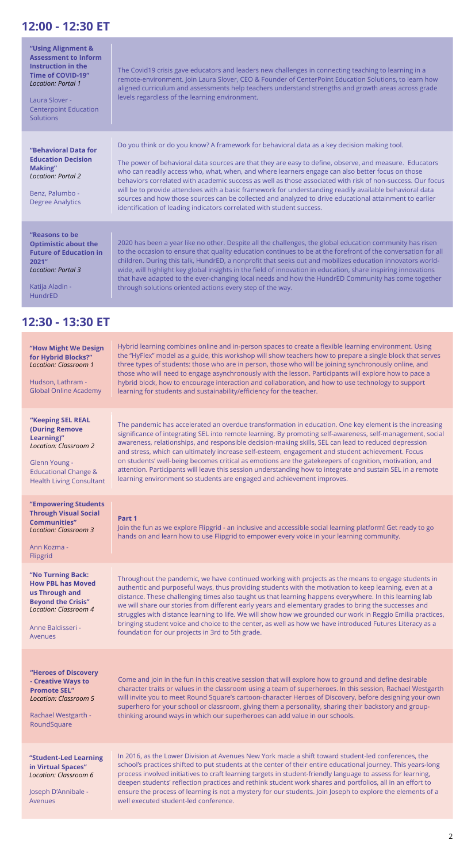### **12:00 - 12:30 ET**

| "Using Alignment &<br><b>Assessment to Inform</b><br><b>Instruction in the</b><br><b>Time of COVID-19"</b><br><b>Location: Portal 1</b><br>Laura Slover -<br><b>Centerpoint Education</b><br>Solutions | The Covid19 crisis gave educators and leaders new challenges in connecting teaching to learning in a<br>remote-environment. Join Laura Slover, CEO & Founder of CenterPoint Education Solutions, to learn how<br>aligned curriculum and assessments help teachers understand strengths and growth areas across grade<br>levels regardless of the learning environment.                                                                                                                                                                                                                                                                                                                                                |
|--------------------------------------------------------------------------------------------------------------------------------------------------------------------------------------------------------|-----------------------------------------------------------------------------------------------------------------------------------------------------------------------------------------------------------------------------------------------------------------------------------------------------------------------------------------------------------------------------------------------------------------------------------------------------------------------------------------------------------------------------------------------------------------------------------------------------------------------------------------------------------------------------------------------------------------------|
| "Behavioral Data for<br><b>Education Decision</b><br>Making"<br><b>Location: Portal 2</b><br>Benz, Palumbo -<br><b>Degree Analytics</b>                                                                | Do you think or do you know? A framework for behavioral data as a key decision making tool.<br>The power of behavioral data sources are that they are easy to define, observe, and measure. Educators<br>who can readily access who, what, when, and where learners engage can also better focus on those<br>behaviors correlated with academic success as well as those associated with risk of non-success. Our focus<br>will be to provide attendees with a basic framework for understanding readily available behavioral data<br>sources and how those sources can be collected and analyzed to drive educational attainment to earlier<br>identification of leading indicators correlated with student success. |
| "Reasons to be<br><b>Optimistic about the</b><br><b>Future of Education in</b><br>2021"<br><b>Location: Portal 3</b><br>Katija Aladin -<br>HundrED                                                     | 2020 has been a year like no other. Despite all the challenges, the global education community has risen<br>to the occasion to ensure that quality education continues to be at the forefront of the conversation for all<br>children. During this talk, HundrED, a nonprofit that seeks out and mobilizes education innovators world-<br>wide, will highlight key global insights in the field of innovation in education, share inspiring innovations<br>that have adapted to the ever-changing local needs and how the HundrED Community has come together<br>through solutions oriented actions every step of the way.                                                                                            |
| 12:30 - 13:30 ET                                                                                                                                                                                       |                                                                                                                                                                                                                                                                                                                                                                                                                                                                                                                                                                                                                                                                                                                       |

**Through Visual Social** 

**Communities"** *Location: Classroom 3*

#### Ann Kozma - Flipgrid

#### **Part 1**

Join the fun as we explore Flipgrid - an inclusive and accessible social learning platform! Get ready to go hands on and learn how to use Flipgrid to empower every voice in your learning community.

#### **"Heroes of Discovery - Creative Ways to Promote SEL"** *Location: Classroom 5*

Rachael Westgarth - RoundSquare

Come and join in the fun in this creative session that will explore how to ground and define desirable character traits or values in the classroom using a team of superheroes. In this session, Rachael Westgarth will invite you to meet Round Square's cartoon-character Heroes of Discovery, before designing your own superhero for your school or classroom, giving them a personality, sharing their backstory and groupthinking around ways in which our superheroes can add value in our schools.

#### **"No Turning Back: How PBL has Moved us Through and Beyond the Crisis"** *Location: Classroom 4*

Anne Baldisseri - Avenues

| "How Might We Design<br>for Hybrid Blocks?"<br><b>Location: Classroom 1</b><br>Hudson, Lathram -<br><b>Global Online Academy</b>                                                | Hybrid learning combines online and in-person spaces to create a flexible learning environment. Using<br>the "HyFlex" model as a guide, this workshop will show teachers how to prepare a single block that serves<br>three types of students: those who are in person, those who will be joining synchronously online, and<br>those who will need to engage asynchronously with the lesson. Participants will explore how to pace a<br>hybrid block, how to encourage interaction and collaboration, and how to use technology to support<br>learning for students and sustainability/efficiency for the teacher.                                                                                                                 |
|---------------------------------------------------------------------------------------------------------------------------------------------------------------------------------|------------------------------------------------------------------------------------------------------------------------------------------------------------------------------------------------------------------------------------------------------------------------------------------------------------------------------------------------------------------------------------------------------------------------------------------------------------------------------------------------------------------------------------------------------------------------------------------------------------------------------------------------------------------------------------------------------------------------------------|
| "Keeping SEL REAL<br><b>(During Remove</b><br>Learning)"<br><b>Location: Classroom 2</b><br>Glenn Young -<br><b>Educational Change &amp;</b><br><b>Health Living Consultant</b> | The pandemic has accelerated an overdue transformation in education. One key element is the increasing<br>significance of integrating SEL into remote learning. By promoting self-awareness, self-management, social<br>awareness, relationships, and responsible decision-making skills, SEL can lead to reduced depression<br>and stress, which can ultimately increase self-esteem, engagement and student achievement. Focus<br>on students' well-being becomes critical as emotions are the gatekeepers of cognition, motivation, and<br>attention. Participants will leave this session understanding how to integrate and sustain SEL in a remote<br>learning environment so students are engaged and achievement improves. |
| "Empowering Students                                                                                                                                                            |                                                                                                                                                                                                                                                                                                                                                                                                                                                                                                                                                                                                                                                                                                                                    |

Throughout the pandemic, we have continued working with projects as the means to engage students in authentic and purposeful ways, thus providing students with the motivation to keep learning, even at a distance. These challenging times also taught us that learning happens everywhere. In this learning lab we will share our stories from different early years and elementary grades to bring the successes and struggles with distance learning to life. We will show how we grounded our work in Reggio Emilia practices, bringing student voice and choice to the center, as well as how we have introduced Futures Literacy as a foundation for our projects in 3rd to 5th grade.

#### **"Student-Led Learning in Virtual Spaces"** *Location: Classroom 6*

Joseph D'Annibale - Avenues

In 2016, as the Lower Division at Avenues New York made a shift toward student-led conferences, the school's practices shifted to put students at the center of their entire educational journey. This years-long process involved initiatives to craft learning targets in student-friendly language to assess for learning, deepen students' reflection practices and rethink student work shares and portfolios, all in an effort to ensure the process of learning is not a mystery for our students. Join Joseph to explore the elements of a well executed student-led conference.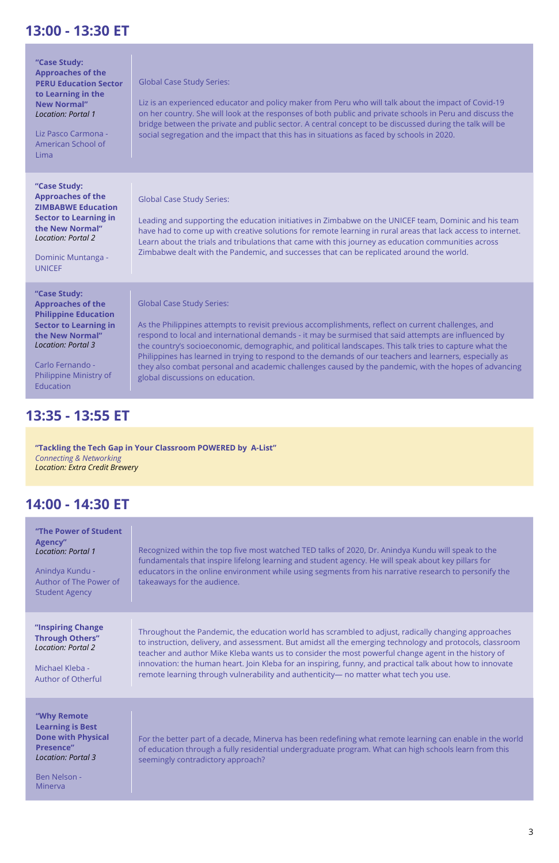### **13:00 - 13:30 ET**

#### **13:35 - 13:55 ET**

### **14:00 - 14:30 ET**

| "Case Study:<br><b>Approaches of the</b><br><b>PERU Education Sector</b><br>to Learning in the<br><b>New Normal"</b><br><b>Location: Portal 1</b><br>Liz Pasco Carmona -<br>American School of<br>Lima             | <b>Global Case Study Series:</b><br>Liz is an experienced educator and policy maker from Peru who will talk about the impact of Covid-19<br>on her country. She will look at the responses of both public and private schools in Peru and discuss the<br>bridge between the private and public sector. A central concept to be discussed during the talk will be<br>social segregation and the impact that this has in situations as faced by schools in 2020.                                                                                                                                                     |
|--------------------------------------------------------------------------------------------------------------------------------------------------------------------------------------------------------------------|--------------------------------------------------------------------------------------------------------------------------------------------------------------------------------------------------------------------------------------------------------------------------------------------------------------------------------------------------------------------------------------------------------------------------------------------------------------------------------------------------------------------------------------------------------------------------------------------------------------------|
| "Case Study:<br><b>Approaches of the</b><br><b>ZIMBABWE Education</b><br><b>Sector to Learning in</b><br>the New Normal"<br><b>Location: Portal 2</b><br>Dominic Muntanga -<br><b>UNICEF</b>                       | <b>Global Case Study Series:</b><br>Leading and supporting the education initiatives in Zimbabwe on the UNICEF team, Dominic and his team<br>have had to come up with creative solutions for remote learning in rural areas that lack access to internet.<br>Learn about the trials and tribulations that came with this journey as education communities across<br>Zimbabwe dealt with the Pandemic, and successes that can be replicated around the world.                                                                                                                                                       |
| "Case Study:<br><b>Approaches of the</b><br><b>Philippine Education</b><br><b>Sector to Learning in</b><br>the New Normal"<br><b>Location: Portal 3</b><br>Carlo Fernando -<br>Philippine Ministry of<br>Education | <b>Global Case Study Series:</b><br>As the Philippines attempts to revisit previous accomplishments, reflect on current challenges, and<br>respond to local and international demands - it may be surmised that said attempts are influenced by<br>the country's socioeconomic, demographic, and political landscapes. This talk tries to capture what the<br>Philippines has learned in trying to respond to the demands of our teachers and learners, especially as<br>they also combat personal and academic challenges caused by the pandemic, with the hopes of advancing<br>global discussions on education. |

**"Tackling the Tech Gap in Your Classroom POWERED by A-List"** *Connecting & Networking Location: Extra Credit Brewery*

**"The Power of Student Agency"** *Location: Portal 1*

Anindya Kundu - Author of The Power of Student Agency

Recognized within the top five most watched TED talks of 2020, Dr. Anindya Kundu will speak to the fundamentals that inspire lifelong learning and student agency. He will speak about key pillars for educators in the online environment while using segments from his narrative research to personify the takeaways for the audience.

**"Why Remote Learning is Best Done with Physical Presence"** *Location: Portal 3*

Ben Nelson - Minerva

For the better part of a decade, Minerva has been redefining what remote learning can enable in the world of education through a fully residential undergraduate program. What can high schools learn from this seemingly contradictory approach?

**"Inspiring Change** 

**Through Others"** *Location: Portal 2*

Michael Kleba - Author of Otherful Throughout the Pandemic, the education world has scrambled to adjust, radically changing approaches

to instruction, delivery, and assessment. But amidst all the emerging technology and protocols, classroom teacher and author Mike Kleba wants us to consider the most powerful change agent in the history of innovation: the human heart. Join Kleba for an inspiring, funny, and practical talk about how to innovate remote learning through vulnerability and authenticity— no matter what tech you use.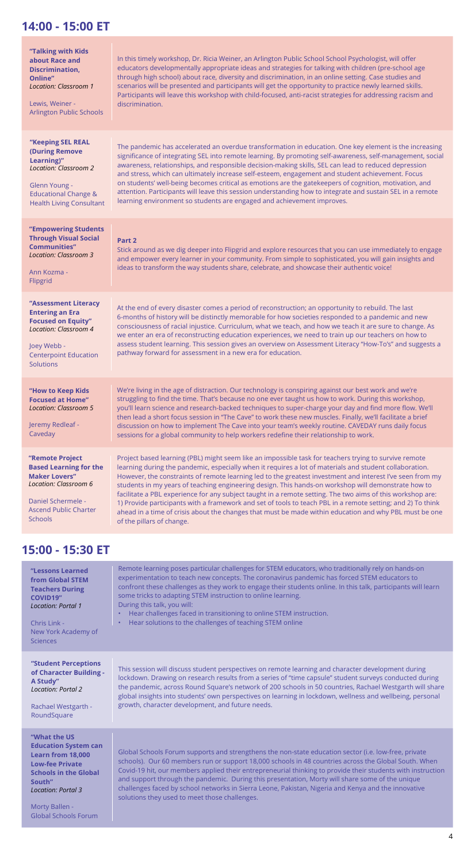## **14:00 - 15:00 ET**

### **15:00 - 15:30 ET**

| "Talking with Kids<br>about Race and<br><b>Discrimination,</b><br>Online"<br><b>Location: Classroom 1</b><br>Lewis, Weiner -<br><b>Arlington Public Schools</b>                  | In this timely workshop, Dr. Ricia Weiner, an Arlington Public School School Psychologist, will offer<br>educators developmentally appropriate ideas and strategies for talking with children (pre-school age<br>through high school) about race, diversity and discrimination, in an online setting. Case studies and<br>scenarios will be presented and participants will get the opportunity to practice newly learned skills.<br>Participants will leave this workshop with child-focused, anti-racist strategies for addressing racism and<br>discrimination.                                                                                                                                                                                                                                       |
|----------------------------------------------------------------------------------------------------------------------------------------------------------------------------------|----------------------------------------------------------------------------------------------------------------------------------------------------------------------------------------------------------------------------------------------------------------------------------------------------------------------------------------------------------------------------------------------------------------------------------------------------------------------------------------------------------------------------------------------------------------------------------------------------------------------------------------------------------------------------------------------------------------------------------------------------------------------------------------------------------|
| "Keeping SEL REAL<br><b>(During Remove</b><br>Learning)"<br><b>Location: Classroom 2</b><br>Glenn Young -<br><b>Educational Change &amp;</b><br><b>Health Living Consultant</b>  | The pandemic has accelerated an overdue transformation in education. One key element is the increasing<br>significance of integrating SEL into remote learning. By promoting self-awareness, self-management, social<br>awareness, relationships, and responsible decision-making skills, SEL can lead to reduced depression<br>and stress, which can ultimately increase self-esteem, engagement and student achievement. Focus<br>on students' well-being becomes critical as emotions are the gatekeepers of cognition, motivation, and<br>attention. Participants will leave this session understanding how to integrate and sustain SEL in a remote<br>learning environment so students are engaged and achievement improves.                                                                       |
| "Empowering Students<br><b>Through Visual Social</b><br><b>Communities"</b><br><b>Location: Classroom 3</b><br>Ann Kozma -<br>Flipgrid                                           | Part 2<br>Stick around as we dig deeper into Flipgrid and explore resources that you can use immediately to engage<br>and empower every learner in your community. From simple to sophisticated, you will gain insights and<br>ideas to transform the way students share, celebrate, and showcase their authentic voice!                                                                                                                                                                                                                                                                                                                                                                                                                                                                                 |
| "Assessment Literacy<br><b>Entering an Era</b><br><b>Focused on Equity"</b><br><b>Location: Classroom 4</b><br>Joey Webb -<br><b>Centerpoint Education</b><br><b>Solutions</b>   | At the end of every disaster comes a period of reconstruction; an opportunity to rebuild. The last<br>6-months of history will be distinctly memorable for how societies responded to a pandemic and new<br>consciousness of racial injustice. Curriculum, what we teach, and how we teach it are sure to change. As<br>we enter an era of reconstructing education experiences, we need to train up our teachers on how to<br>assess student learning. This session gives an overview on Assessment Literacy "How-To's" and suggests a<br>pathway forward for assessment in a new era for education.                                                                                                                                                                                                    |
| "How to Keep Kids<br><b>Focused at Home"</b><br><b>Location: Classroom 5</b><br>Jeremy Redleaf -<br>Caveday                                                                      | We're living in the age of distraction. Our technology is conspiring against our best work and we're<br>struggling to find the time. That's because no one ever taught us how to work. During this workshop,<br>you'll learn science and research-backed techniques to super-charge your day and find more flow. We'll<br>then lead a short focus session in "The Cave" to work these new muscles. Finally, we'll facilitate a brief<br>discussion on how to implement The Cave into your team's weekly routine. CAVEDAY runs daily focus<br>sessions for a global community to help workers redefine their relationship to work.                                                                                                                                                                        |
| "Remote Project<br><b>Based Learning for the</b><br><b>Maker Lovers"</b><br><b>Location: Classroom 6</b><br>Daniel Schermele -<br><b>Ascend Public Charter</b><br><b>Schools</b> | Project based learning (PBL) might seem like an impossible task for teachers trying to survive remote<br>learning during the pandemic, especially when it requires a lot of materials and student collaboration.<br>However, the constraints of remote learning led to the greatest investment and interest I've seen from my<br>students in my years of teaching engineering design. This hands-on workshop will demonstrate how to<br>facilitate a PBL experience for any subject taught in a remote setting. The two aims of this workshop are:<br>1) Provide participants with a framework and set of tools to teach PBL in a remote setting; and 2) To think<br>ahead in a time of crisis about the changes that must be made within education and why PBL must be one<br>of the pillars of change. |

| "Lessons Learned<br>from Global STEM<br><b>Teachers During</b><br><b>COVID19"</b><br><b>Location: Portal 1</b><br>Chris Link -<br>New York Academy of<br><b>Sciences</b>                                                  | Remote learning poses particular challenges for STEM educators, who traditionally rely on hands-on<br>experimentation to teach new concepts. The coronavirus pandemic has forced STEM educators to<br>confront these challenges as they work to engage their students online. In this talk, participants will learn<br>some tricks to adapting STEM instruction to online learning.<br>During this talk, you will:<br>Hear challenges faced in transitioning to online STEM instruction.<br>$\bullet$<br>Hear solutions to the challenges of teaching STEM online<br>$\bullet$         |
|---------------------------------------------------------------------------------------------------------------------------------------------------------------------------------------------------------------------------|----------------------------------------------------------------------------------------------------------------------------------------------------------------------------------------------------------------------------------------------------------------------------------------------------------------------------------------------------------------------------------------------------------------------------------------------------------------------------------------------------------------------------------------------------------------------------------------|
| "Student Perceptions<br>of Character Building -<br>A Study"<br>Location: Portal 2<br>Rachael Westgarth -<br>RoundSquare                                                                                                   | This session will discuss student perspectives on remote learning and character development during<br>lockdown. Drawing on research results from a series of "time capsule" student surveys conducted during<br>the pandemic, across Round Square's network of 200 schools in 50 countries, Rachael Westgarth will share<br>global insights into students' own perspectives on learning in lockdown, wellness and wellbeing, personal<br>growth, character development, and future needs.                                                                                              |
| "What the US<br><b>Education System can</b><br><b>Learn from 18,000</b><br><b>Low-fee Private</b><br><b>Schools in the Global</b><br>South"<br><b>Location: Portal 3</b><br>Morty Ballen -<br><b>Global Schools Forum</b> | Global Schools Forum supports and strengthens the non-state education sector (i.e. low-free, private<br>schools). Our 60 members run or support 18,000 schools in 48 countries across the Global South. When<br>Covid-19 hit, our members applied their entrepreneurial thinking to provide their students with instruction<br>and support through the pandemic. During this presentation, Morty will share some of the unique<br>challenges faced by school networks in Sierra Leone, Pakistan, Nigeria and Kenya and the innovative<br>solutions they used to meet those challenges. |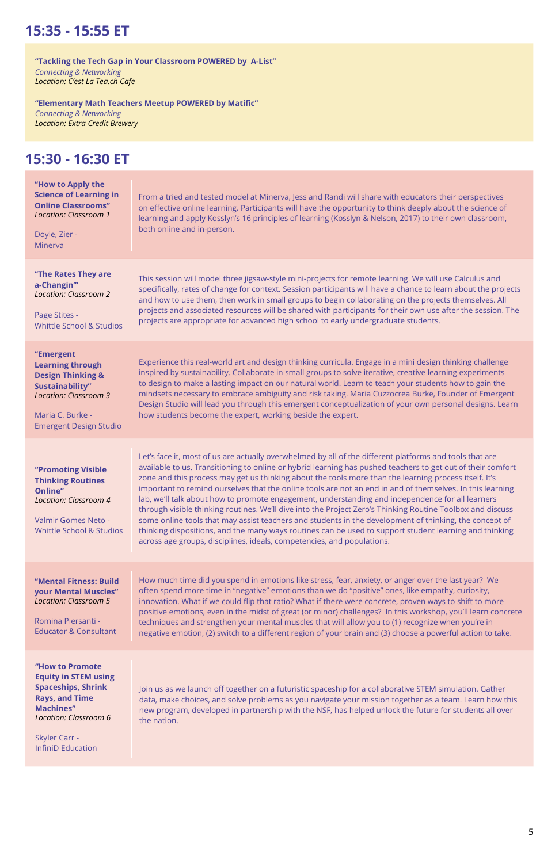## **15:35 - 15:55 ET**

### **15:30 - 16:30 ET**

| "How to Apply the<br><b>Science of Learning in</b><br><b>Online Classrooms"</b><br><b>Location: Classroom 1</b><br>Doyle, Zier -<br>Minerva                                  | From a tried and tested model at Minerva, Jess and Randi will share with educators their perspectives<br>on effective online learning. Participants will have the opportunity to think deeply about the science of<br>learning and apply Kosslyn's 16 principles of learning (Kosslyn & Nelson, 2017) to their own classroom,<br>both online and in-person.                                                                                                                                                                                                                                                                                                                                                                                                                                                                                                                                                                                                  |
|------------------------------------------------------------------------------------------------------------------------------------------------------------------------------|--------------------------------------------------------------------------------------------------------------------------------------------------------------------------------------------------------------------------------------------------------------------------------------------------------------------------------------------------------------------------------------------------------------------------------------------------------------------------------------------------------------------------------------------------------------------------------------------------------------------------------------------------------------------------------------------------------------------------------------------------------------------------------------------------------------------------------------------------------------------------------------------------------------------------------------------------------------|
| "The Rates They are<br>a-Changin"<br><b>Location: Classroom 2</b><br>Page Stites -<br><b>Whittle School &amp; Studios</b>                                                    | This session will model three jigsaw-style mini-projects for remote learning. We will use Calculus and<br>specifically, rates of change for context. Session participants will have a chance to learn about the projects<br>and how to use them, then work in small groups to begin collaborating on the projects themselves. All<br>projects and associated resources will be shared with participants for their own use after the session. The<br>projects are appropriate for advanced high school to early undergraduate students.                                                                                                                                                                                                                                                                                                                                                                                                                       |
| "Emergent<br><b>Learning through</b><br><b>Design Thinking &amp;</b><br>Sustainability"<br><b>Location: Classroom 3</b><br>Maria C. Burke -<br><b>Emergent Design Studio</b> | Experience this real-world art and design thinking curricula. Engage in a mini design thinking challenge<br>inspired by sustainability. Collaborate in small groups to solve iterative, creative learning experiments<br>to design to make a lasting impact on our natural world. Learn to teach your students how to gain the<br>mindsets necessary to embrace ambiguity and risk taking. Maria Cuzzocrea Burke, Founder of Emergent<br>Design Studio will lead you through this emergent conceptualization of your own personal designs. Learn<br>how students become the expert, working beside the expert.                                                                                                                                                                                                                                                                                                                                               |
| "Promoting Visible<br><b>Thinking Routines</b><br>Online"<br><b>Location: Classroom 4</b><br>Valmir Gomes Neto -<br><b>Whittle School &amp; Studios</b>                      | Let's face it, most of us are actually overwhelmed by all of the different platforms and tools that are<br>available to us. Transitioning to online or hybrid learning has pushed teachers to get out of their comfort<br>zone and this process may get us thinking about the tools more than the learning process itself. It's<br>important to remind ourselves that the online tools are not an end in and of themselves. In this learning<br>lab, we'll talk about how to promote engagement, understanding and independence for all learners<br>through visible thinking routines. We'll dive into the Project Zero's Thinking Routine Toolbox and discuss<br>some online tools that may assist teachers and students in the development of thinking, the concept of<br>thinking dispositions, and the many ways routines can be used to support student learning and thinking<br>across age groups, disciplines, ideals, competencies, and populations. |
| "Mental Fitness: Build<br><b>your Mental Muscles"</b><br><b>Location: Classroom 5</b><br>Romina Piersanti -                                                                  | How much time did you spend in emotions like stress, fear, anxiety, or anger over the last year? We<br>often spend more time in "negative" emotions than we do "positive" ones, like empathy, curiosity,<br>innovation. What if we could flip that ratio? What if there were concrete, proven ways to shift to more<br>positive emotions, even in the midst of great (or minor) challenges? In this workshop, you'll learn concrete<br>techniques and strengthen your mental muscles that will allow you to (1) recognize when you're in                                                                                                                                                                                                                                                                                                                                                                                                                     |

**"How to Promote Equity in STEM using Spaceships, Shrink Rays, and Time Machines"** *Location: Classroom 6*

Skyler Carr - InfiniD Education Join us as we launch off together on a futuristic spaceship for a collaborative STEM simulation. Gather data, make choices, and solve problems as you navigate your mission together as a team. Learn how this new program, developed in partnership with the NSF, has helped unlock the future for students all over the nation.

**"Tackling the Tech Gap in Your Classroom POWERED by A-List"** *Connecting & Networking Location: C'est La Tea.ch Cafe*

**"Elementary Math Teachers Meetup POWERED by Matific"** *Connecting & Networking Location: Extra Credit Brewery*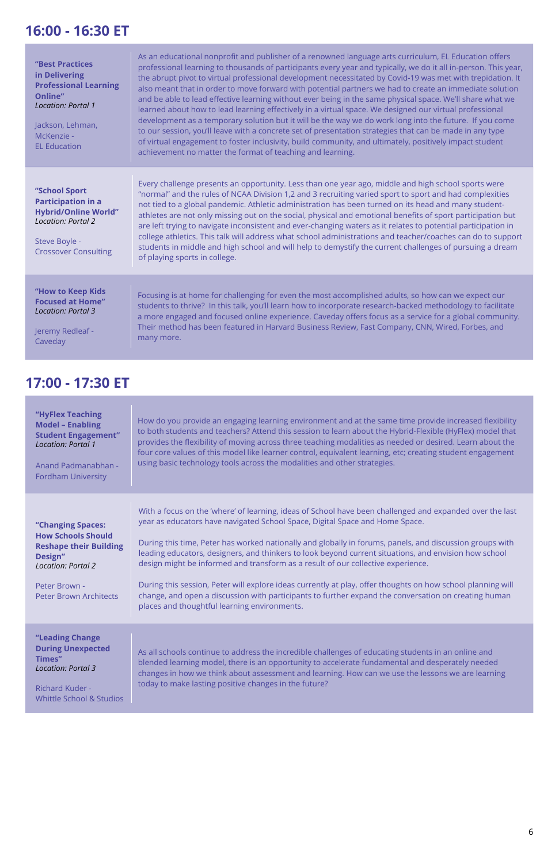### **16:00 - 16:30 ET**

### **17:00 - 17:30 ET**

| "Best Practices<br>in Delivering<br><b>Professional Learning</b><br>Online"<br>Location: Portal 1<br>Jackson, Lehman,<br>McKenzie -<br><b>EL Education</b> | As an educational nonprofit and publisher of a renowned language arts curriculum, EL Education offers<br>professional learning to thousands of participants every year and typically, we do it all in-person. This year,<br>the abrupt pivot to virtual professional development necessitated by Covid-19 was met with trepidation. It<br>also meant that in order to move forward with potential partners we had to create an immediate solution<br>and be able to lead effective learning without ever being in the same physical space. We'll share what we<br>learned about how to lead learning effectively in a virtual space. We designed our virtual professional<br>development as a temporary solution but it will be the way we do work long into the future. If you come<br>to our session, you'll leave with a concrete set of presentation strategies that can be made in any type<br>of virtual engagement to foster inclusivity, build community, and ultimately, positively impact student<br>achievement no matter the format of teaching and learning. |
|------------------------------------------------------------------------------------------------------------------------------------------------------------|---------------------------------------------------------------------------------------------------------------------------------------------------------------------------------------------------------------------------------------------------------------------------------------------------------------------------------------------------------------------------------------------------------------------------------------------------------------------------------------------------------------------------------------------------------------------------------------------------------------------------------------------------------------------------------------------------------------------------------------------------------------------------------------------------------------------------------------------------------------------------------------------------------------------------------------------------------------------------------------------------------------------------------------------------------------------------|
| "School Sport<br><b>Participation in a</b><br><b>Hybrid/Online World"</b><br><b>Location: Portal 2</b><br>Steve Boyle -<br><b>Crossover Consulting</b>     | Every challenge presents an opportunity. Less than one year ago, middle and high school sports were<br>"normal" and the rules of NCAA Division 1,2 and 3 recruiting varied sport to sport and had complexities<br>not tied to a global pandemic. Athletic administration has been turned on its head and many student-<br>athletes are not only missing out on the social, physical and emotional benefits of sport participation but<br>are left trying to navigate inconsistent and ever-changing waters as it relates to potential participation in<br>college athletics. This talk will address what school administrations and teacher/coaches can do to support<br>students in middle and high school and will help to demystify the current challenges of pursuing a dream<br>of playing sports in college.                                                                                                                                                                                                                                                        |
| "How to Keep Kids<br><b>Focused at Home"</b><br><b>Location: Portal 3</b><br>Jeremy Redleaf -<br>Caveday                                                   | Focusing is at home for challenging for even the most accomplished adults, so how can we expect our<br>students to thrive? In this talk, you'll learn how to incorporate research-backed methodology to facilitate<br>a more engaged and focused online experience. Caveday offers focus as a service for a global community.<br>Their method has been featured in Harvard Business Review, Fast Company, CNN, Wired, Forbes, and<br>many more.                                                                                                                                                                                                                                                                                                                                                                                                                                                                                                                                                                                                                           |

**"Leading Change During Unexpected Times"**  *Location: Portal 3*

Richard Kuder - Whittle School & Studios As all schools continue to address the incredible challenges of educating students in an online and blended learning model, there is an opportunity to accelerate fundamental and desperately needed changes in how we think about assessment and learning. How can we use the lessons we are learning today to make lasting positive changes in the future?

| "HyFlex Teaching<br><b>Model - Enabling</b><br><b>Student Engagement"</b><br><b>Location: Portal 1</b><br>Anand Padmanabhan -<br><b>Fordham University</b> | How do you provide an engaging learning environment and at the same time provide increased flexibility<br>to both students and teachers? Attend this session to learn about the Hybrid-Flexible (HyFlex) model that<br>provides the flexibility of moving across three teaching modalities as needed or desired. Learn about the<br>four core values of this model like learner control, equivalent learning, etc; creating student engagement<br>using basic technology tools across the modalities and other strategies. |
|------------------------------------------------------------------------------------------------------------------------------------------------------------|----------------------------------------------------------------------------------------------------------------------------------------------------------------------------------------------------------------------------------------------------------------------------------------------------------------------------------------------------------------------------------------------------------------------------------------------------------------------------------------------------------------------------|
| "Changing Spaces:<br><b>How Schools Should</b><br><b>Reshape their Building</b><br>Design"<br><b>Location: Portal 2</b>                                    | With a focus on the 'where' of learning, ideas of School have been challenged and expanded over the last<br>year as educators have navigated School Space, Digital Space and Home Space.<br>During this time, Peter has worked nationally and globally in forums, panels, and discussion groups with<br>leading educators, designers, and thinkers to look beyond current situations, and envision how school<br>design might be informed and transform as a result of our collective experience.                          |
| Peter Brown -<br>Peter Brown Architects                                                                                                                    | During this session, Peter will explore ideas currently at play, offer thoughts on how school planning will<br>change, and open a discussion with participants to further expand the conversation on creating human<br>places and thoughtful learning environments.                                                                                                                                                                                                                                                        |